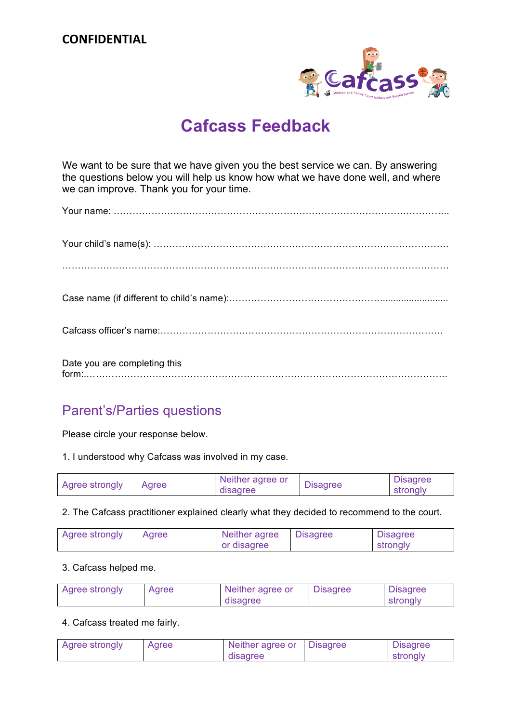### **CONFIDENTIAL**



# **Cafcass Feedback**

We want to be sure that we have given you the best service we can. By answering the questions below you will help us know how what we have done well, and where we can improve. Thank you for your time.

| Date you are completing this |
|------------------------------|

## Parent's/Parties questions

Please circle your response below.

1. I understood why Cafcass was involved in my case.

| Agree strongly | Agree | Neither agree or<br>disagree | <b>Disagree</b> | <b>Disagree</b><br>strongly |
|----------------|-------|------------------------------|-----------------|-----------------------------|
|----------------|-------|------------------------------|-----------------|-----------------------------|

2. The Cafcass practitioner explained clearly what they decided to recommend to the court.

| Agree strongly | Agree | Neither agree | <b>Disagree</b> | <b>Disagree</b> |
|----------------|-------|---------------|-----------------|-----------------|
|                |       | or disagree   |                 | strongly        |

3. Cafcass helped me.

| Agree strongly | Agree | Neither agree or | <b>Disagree</b> | <b>Disagree</b> |
|----------------|-------|------------------|-----------------|-----------------|
|                |       | disagree         |                 | strongly        |

#### 4. Cafcass treated me fairly.

| Agree strongly | Agree | Neither agree or | <b>Disagree</b> | <b>Disagree</b> |
|----------------|-------|------------------|-----------------|-----------------|
|                |       | disagree         |                 | strongly        |